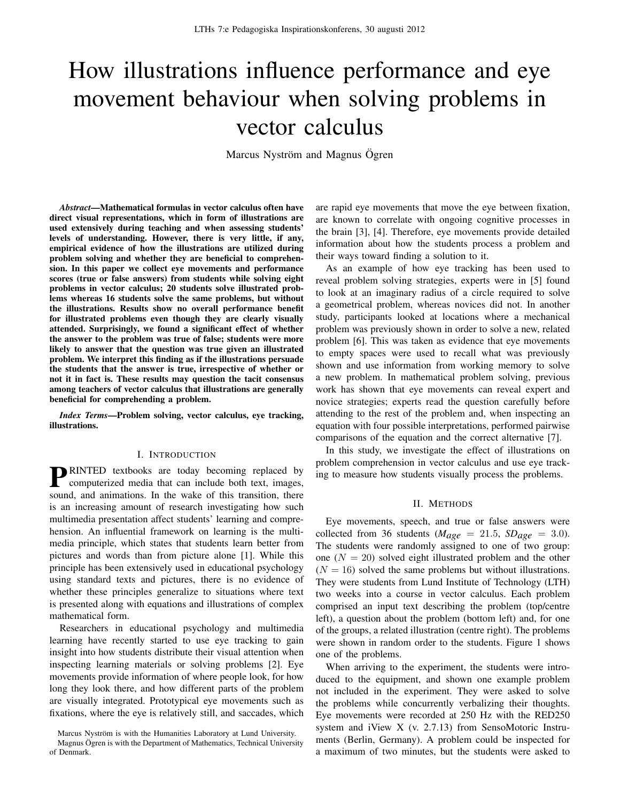# How illustrations influence performance and eye movement behaviour when solving problems in vector calculus

Marcus Nyström and Magnus Ögren

*Abstract*—Mathematical formulas in vector calculus often have direct visual representations, which in form of illustrations are used extensively during teaching and when assessing students' levels of understanding. However, there is very little, if any, empirical evidence of how the illustrations are utilized during problem solving and whether they are beneficial to comprehension. In this paper we collect eye movements and performance scores (true or false answers) from students while solving eight problems in vector calculus; 20 students solve illustrated problems whereas 16 students solve the same problems, but without the illustrations. Results show no overall performance benefit for illustrated problems even though they are clearly visually attended. Surprisingly, we found a significant effect of whether the answer to the problem was true of false; students were more likely to answer that the question was true given an illustrated problem. We interpret this finding as if the illustrations persuade the students that the answer is true, irrespective of whether or not it in fact is. These results may question the tacit consensus among teachers of vector calculus that illustrations are generally beneficial for comprehending a problem.

*Index Terms*—Problem solving, vector calculus, eye tracking, illustrations.

## I. INTRODUCTION

**PENNTED** textbooks are today becoming replaced by computerized media that can include both text, images, computerized media that can include both text, images, sound, and animations. In the wake of this transition, there is an increasing amount of research investigating how such multimedia presentation affect students' learning and comprehension. An influential framework on learning is the multimedia principle, which states that students learn better from pictures and words than from picture alone [1]. While this principle has been extensively used in educational psychology using standard texts and pictures, there is no evidence of whether these principles generalize to situations where text is presented along with equations and illustrations of complex mathematical form.

Researchers in educational psychology and multimedia learning have recently started to use eye tracking to gain insight into how students distribute their visual attention when inspecting learning materials or solving problems [2]. Eye movements provide information of where people look, for how long they look there, and how different parts of the problem are visually integrated. Prototypical eye movements such as fixations, where the eye is relatively still, and saccades, which

Marcus Nyström is with the Humanities Laboratory at Lund University. Magnus Ögren is with the Department of Mathematics, Technical University of Denmark.

are rapid eye movements that move the eye between fixation, are known to correlate with ongoing cognitive processes in the brain [3], [4]. Therefore, eye movements provide detailed information about how the students process a problem and their ways toward finding a solution to it.

As an example of how eye tracking has been used to reveal problem solving strategies, experts were in [5] found to look at an imaginary radius of a circle required to solve a geometrical problem, whereas novices did not. In another study, participants looked at locations where a mechanical problem was previously shown in order to solve a new, related problem [6]. This was taken as evidence that eye movements to empty spaces were used to recall what was previously shown and use information from working memory to solve a new problem. In mathematical problem solving, previous work has shown that eye movements can reveal expert and novice strategies; experts read the question carefully before attending to the rest of the problem and, when inspecting an equation with four possible interpretations, performed pairwise comparisons of the equation and the correct alternative [7].

In this study, we investigate the effect of illustrations on problem comprehension in vector calculus and use eye tracking to measure how students visually process the problems.

#### II. METHODS

Eye movements, speech, and true or false answers were collected from 36 students ( $M_{age} = 21.5$ ,  $SD_{age} = 3.0$ ). The students were randomly assigned to one of two group: one  $(N = 20)$  solved eight illustrated problem and the other  $(N = 16)$  solved the same problems but without illustrations. They were students from Lund Institute of Technology (LTH) two weeks into a course in vector calculus. Each problem comprised an input text describing the problem (top/centre left), a question about the problem (bottom left) and, for one of the groups, a related illustration (centre right). The problems were shown in random order to the students. Figure 1 shows one of the problems.

When arriving to the experiment, the students were introduced to the equipment, and shown one example problem not included in the experiment. They were asked to solve the problems while concurrently verbalizing their thoughts. Eye movements were recorded at 250 Hz with the RED250 system and iView X (v. 2.7.13) from SensoMotoric Instruments (Berlin, Germany). A problem could be inspected for a maximum of two minutes, but the students were asked to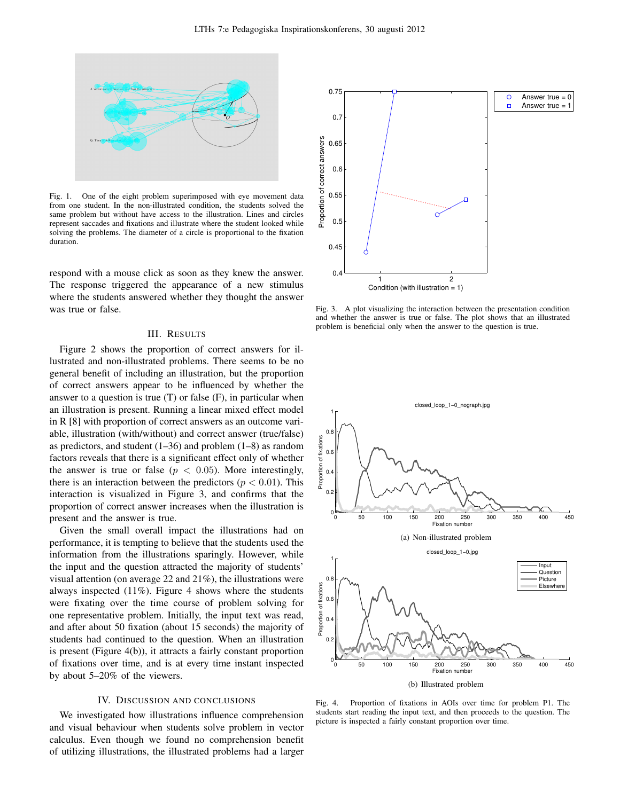

Fig. 1. One of the eight problem superimposed with eye movement data from one student. In the non-illustrated condition, the students solved the same problem but without have access to the illustration. Lines and circles represent saccades and fixations and illustrate where the student looked while solving the problems. The diameter of a circle is proportional to the fixation duration.

respond with a mouse click as soon as they knew the answer. The response triggered the appearance of a new stimulus where the students answered whether they thought the answer was true or false.

## III. RESULTS

Figure 2 shows the proportion of correct answers for illustrated and non-illustrated problems. There seems to be no general benefit of including an illustration, but the proportion of correct answers appear to be influenced by whether the answer to a question is true  $(T)$  or false  $(F)$ , in particular when an illustration is present. Running a linear mixed effect model in R [8] with proportion of correct answers as an outcome variable, illustration (with/without) and correct answer (true/false) as predictors, and student (1–36) and problem (1–8) as random factors reveals that there is a significant effect only of whether the answer is true or false ( $p < 0.05$ ). More interestingly, there is an interaction between the predictors ( $p < 0.01$ ). This interaction is visualized in Figure 3, and confirms that the proportion of correct answer increases when the illustration is present and the answer is true.

Given the small overall impact the illustrations had on performance, it is tempting to believe that the students used the information from the illustrations sparingly. However, while the input and the question attracted the majority of students' visual attention (on average 22 and 21%), the illustrations were always inspected (11%). Figure 4 shows where the students were fixating over the time course of problem solving for one representative problem. Initially, the input text was read, and after about 50 fixation (about 15 seconds) the majority of students had continued to the question. When an illustration is present (Figure 4(b)), it attracts a fairly constant proportion of fixations over time, and is at every time instant inspected by about 5–20% of the viewers.

## IV. DISCUSSION AND CONCLUSIONS

We investigated how illustrations influence comprehension and visual behaviour when students solve problem in vector calculus. Even though we found no comprehension benefit of utilizing illustrations, the illustrated problems had a larger



Fig. 3. A plot visualizing the interaction between the presentation condition and whether the answer is true or false. The plot shows that an illustrated problem is beneficial only when the answer to the question is true.



Fig. 4. Proportion of fixations in AOIs over time for problem P1. The students start reading the input text, and then proceeds to the question. The picture is inspected a fairly constant proportion over time.